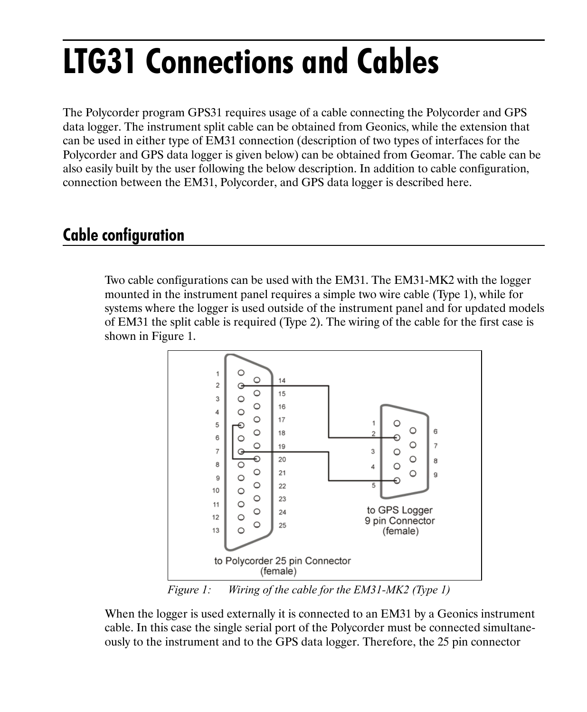## **LTG31 Connections and Cables**

The Polycorder program GPS31 requires usage of a cable connecting the Polycorder and GPS data logger. The instrument split cable can be obtained from Geonics, while the extension that can be used in either type of EM31 connection (description of two types of interfaces for the Polycorder and GPS data logger is given below) can be obtained from Geomar. The cable can be also easily built by the user following the below description. In addition to cable configuration, connection between the EM31, Polycorder, and GPS data logger is described here.

## **Cable configuration**

Two cable configurations can be used with the EM31. The EM31-MK2 with the logger mounted in the instrument panel requires a simple two wire cable (Type 1), while for systems where the logger is used outside of the instrument panel and for updated models of EM31 the split cable is required (Type 2). The wiring of the cable for the first case is shown in Figure 1.



*Figure 1: Wiring of the cable for the EM31-MK2 (Type 1)*

When the logger is used externally it is connected to an EM31 by a Geonics instrument cable. In this case the single serial port of the Polycorder must be connected simultaneously to the instrument and to the GPS data logger. Therefore, the 25 pin connector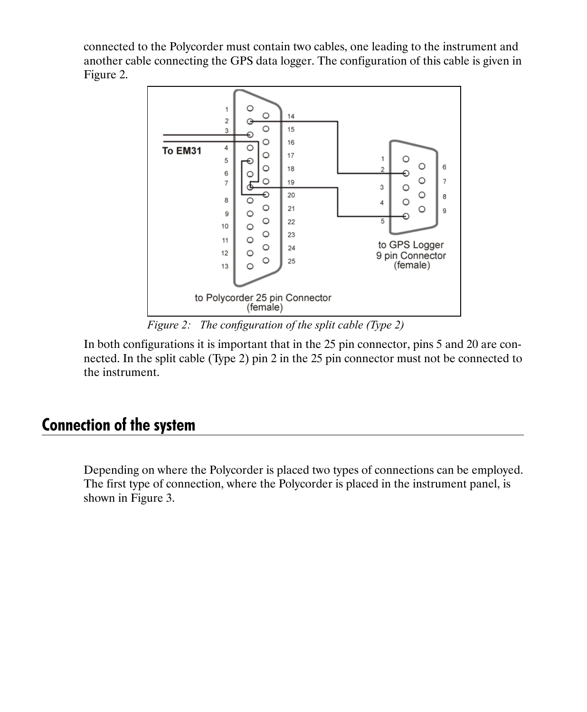connected to the Polycorder must contain two cables, one leading to the instrument and another cable connecting the GPS data logger. The configuration of this cable is given in Figure 2.



*Figure 2: The configuration of the split cable (Type 2)* 

In both configurations it is important that in the 25 pin connector, pins 5 and 20 are connected. In the split cable (Type 2) pin 2 in the 25 pin connector must not be connected to the instrument.

## **Connection of the system**

Depending on where the Polycorder is placed two types of connections can be employed. The first type of connection, where the Polycorder is placed in the instrument panel, is shown in Figure 3.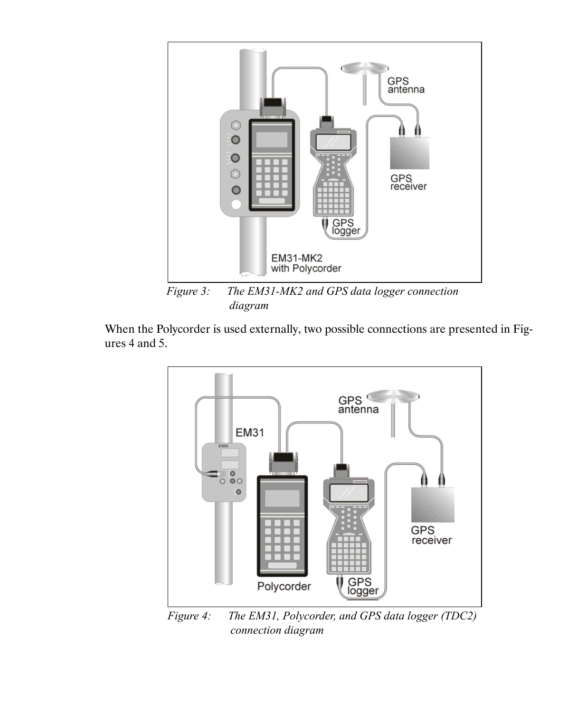

*Figure 3: The EM31-MK2 and GPS data logger connection diagram*

When the Polycorder is used externally, two possible connections are presented in Figures 4 and 5.



*Figure 4: The EM31, Polycorder, and GPS data logger (TDC2) connection diagram*